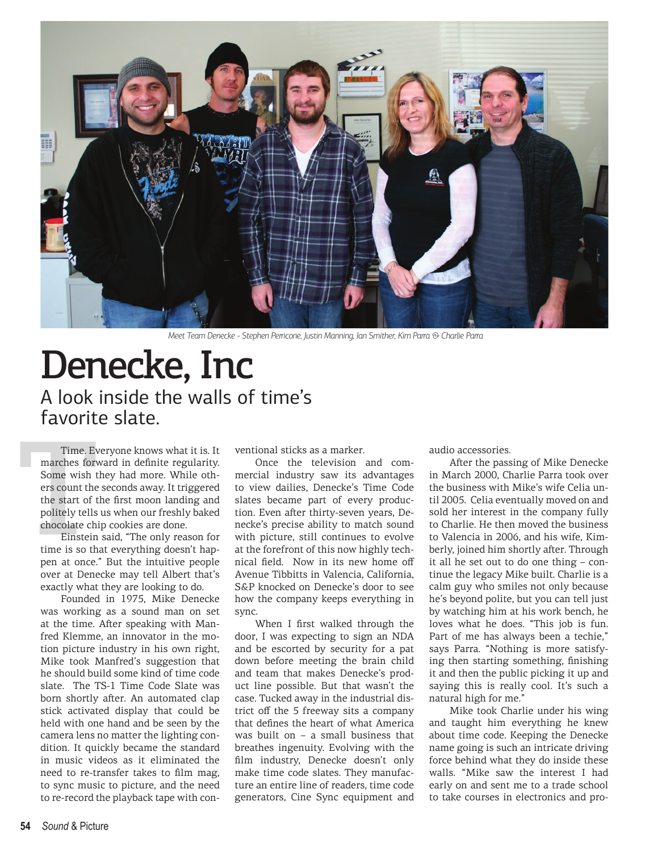

*Meet Team Denecke - Stephen Perricone, Justin Manning, Ian Smither, Kim Parra & Charlie Parra* 

## Denecke, Inc A look inside the walls of time's favorite slate.

Time. Evaluation Formulation Some wish the start of the start of the start of the school scheme is so the start of the start of the start of the start of the start of the start of the start of the start of the start of the Time. Everyone knows what it is. It marches forward in definite regularity. Some wish they had more. While others count the seconds away. It triggered the start of the first moon landing and politely tells us when our freshly baked chocolate chip cookies are done.

Einstein said, "The only reason for time is so that everything doesn't happen at once." But the intuitive people over at Denecke may tell Albert that's exactly what they are looking to do.

Founded in 1975, Mike Denecke was working as a sound man on set at the time. After speaking with Manfred Klemme, an innovator in the motion picture industry in his own right, Mike took Manfred's suggestion that he should build some kind of time code slate. The TS-1 Time Code Slate was born shortly after. An automated clap stick activated display that could be held with one hand and be seen by the camera lens no matter the lighting condition. It quickly became the standard in music videos as it eliminated the need to re-transfer takes to film mag, to sync music to picture, and the need to re-record the playback tape with conventional sticks as a marker.

Once the television and commercial industry saw its advantages to view dailies, Denecke's Time Code slates became part of every production. Even after thirty-seven years, Denecke's precise ability to match sound with picture, still continues to evolve at the forefront of this now highly technical field. Now in its new home off Avenue Tibbitts in Valencia, California, S&P knocked on Denecke's door to see how the company keeps everything in sync.

When I first walked through the door, I was expecting to sign an NDA and be escorted by security for a pat down before meeting the brain child and team that makes Denecke's product line possible. But that wasn't the case. Tucked away in the industrial district off the 5 freeway sits a company that defines the heart of what America was built on – a small business that breathes ingenuity. Evolving with the film industry, Denecke doesn't only make time code slates. They manufacture an entire line of readers, time code generators, Cine Sync equipment and

audio accessories.

After the passing of Mike Denecke in March 2000, Charlie Parra took over the business with Mike's wife Celia until 2005. Celia eventually moved on and sold her interest in the company fully to Charlie. He then moved the business to Valencia in 2006, and his wife, Kimberly, joined him shortly after. Through it all he set out to do one thing – continue the legacy Mike built. Charlie is a calm guy who smiles not only because he's beyond polite, but you can tell just by watching him at his work bench, he loves what he does. "This job is fun. Part of me has always been a techie," says Parra. "Nothing is more satisfying then starting something, finishing it and then the public picking it up and saying this is really cool. It's such a natural high for me."

Mike took Charlie under his wing and taught him everything he knew about time code. Keeping the Denecke name going is such an intricate driving force behind what they do inside these walls. "Mike saw the interest I had early on and sent me to a trade school to take courses in electronics and pro-